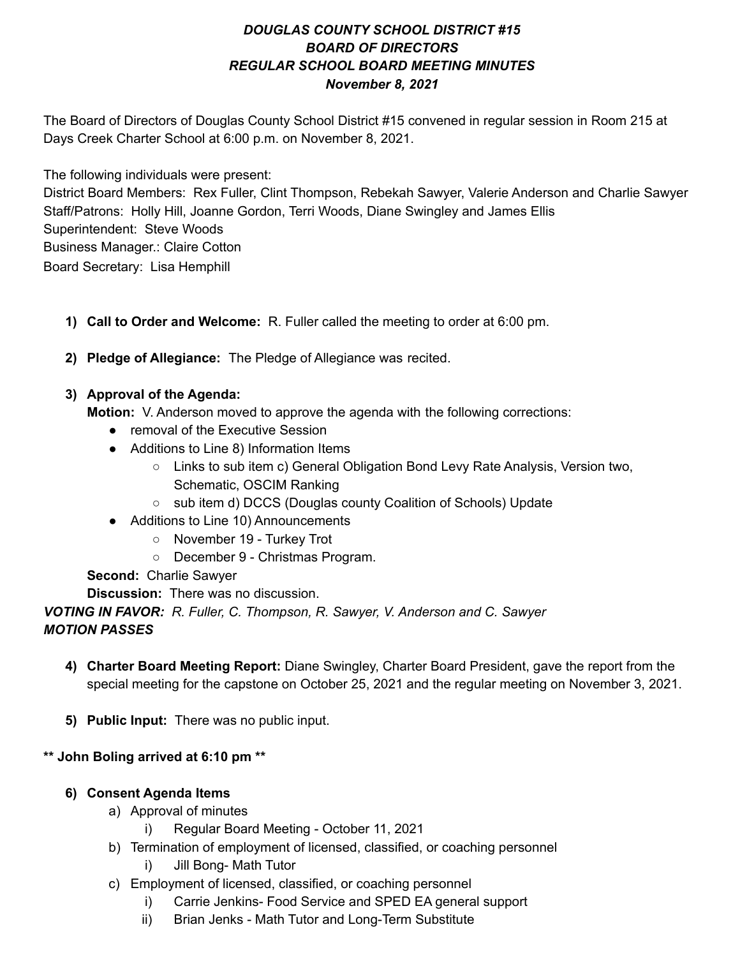# *DOUGLAS COUNTY SCHOOL DISTRICT #15 BOARD OF DIRECTORS REGULAR SCHOOL BOARD MEETING MINUTES November 8, 2021*

The Board of Directors of Douglas County School District #15 convened in regular session in Room 215 at Days Creek Charter School at 6:00 p.m. on November 8, 2021.

The following individuals were present:

District Board Members: Rex Fuller, Clint Thompson, Rebekah Sawyer, Valerie Anderson and Charlie Sawyer Staff/Patrons: Holly Hill, Joanne Gordon, Terri Woods, Diane Swingley and James Ellis Superintendent: Steve Woods Business Manager.: Claire Cotton Board Secretary: Lisa Hemphill

- **1) Call to Order and Welcome:** R. Fuller called the meeting to order at 6:00 pm.
- **2) Pledge of Allegiance:** The Pledge of Allegiance was recited.

## **3) Approval of the Agenda:**

**Motion:** V. Anderson moved to approve the agenda with the following corrections:

- removal of the Executive Session
- Additions to Line 8) Information Items
	- Links to sub item c) General Obligation Bond Levy Rate Analysis, Version two, Schematic, OSCIM Ranking
	- sub item d) DCCS (Douglas county Coalition of Schools) Update
- Additions to Line 10) Announcements
	- November 19 Turkey Trot
	- December 9 Christmas Program.

**Second:** Charlie Sawyer

**Discussion:** There was no discussion.

*VOTING IN FAVOR: R. Fuller, C. Thompson, R. Sawyer, V. Anderson and C. Sawyer MOTION PASSES*

- **4) Charter Board Meeting Report:** Diane Swingley, Charter Board President, gave the report from the special meeting for the capstone on October 25, 2021 and the regular meeting on November 3, 2021.
- **5) Public Input:** There was no public input.

# **\*\* John Boling arrived at 6:10 pm \*\***

- **6) Consent Agenda Items**
	- a) Approval of minutes
		- i) Regular Board Meeting October 11, 2021
	- b) Termination of employment of licensed, classified, or coaching personnel
		- i) Jill Bong- Math Tutor
	- c) Employment of licensed, classified, or coaching personnel
		- i) Carrie Jenkins- Food Service and SPED EA general support
		- ii) Brian Jenks Math Tutor and Long-Term Substitute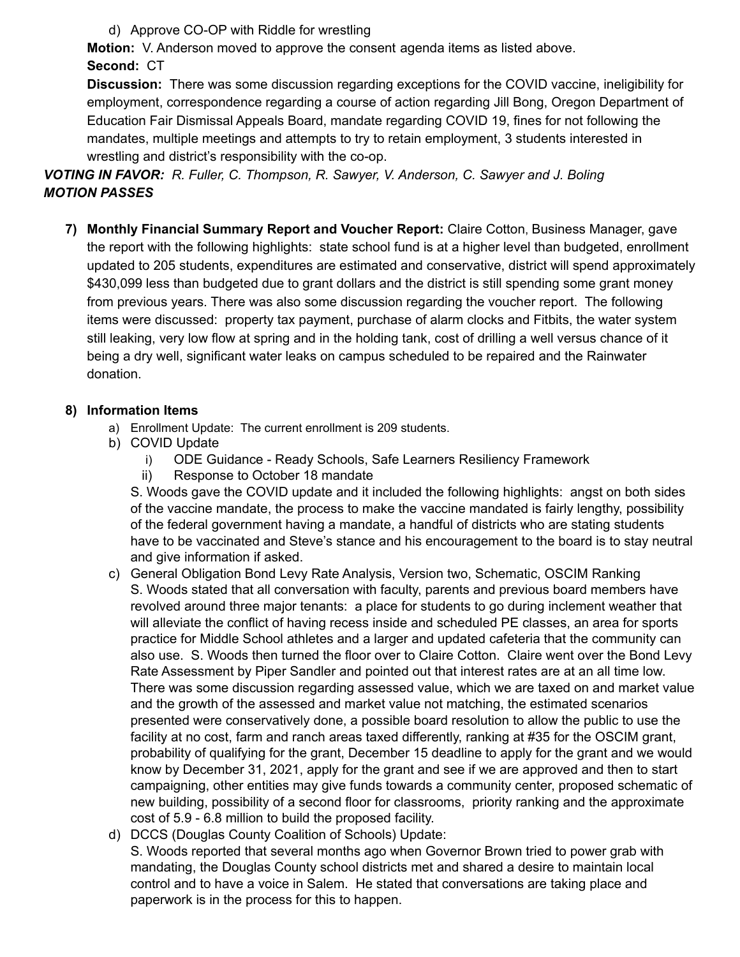d) Approve CO-OP with Riddle for wrestling

**Motion:** V. Anderson moved to approve the consent agenda items as listed above. **Second:** CT

**Discussion:** There was some discussion regarding exceptions for the COVID vaccine, ineligibility for employment, correspondence regarding a course of action regarding Jill Bong, Oregon Department of Education Fair Dismissal Appeals Board, mandate regarding COVID 19, fines for not following the mandates, multiple meetings and attempts to try to retain employment, 3 students interested in wrestling and district's responsibility with the co-op.

## *VOTING IN FAVOR: R. Fuller, C. Thompson, R. Sawyer, V. Anderson, C. Sawyer and J. Boling MOTION PASSES*

**7) Monthly Financial Summary Report and Voucher Report:** Claire Cotton, Business Manager, gave the report with the following highlights: state school fund is at a higher level than budgeted, enrollment updated to 205 students, expenditures are estimated and conservative, district will spend approximately \$430,099 less than budgeted due to grant dollars and the district is still spending some grant money from previous years. There was also some discussion regarding the voucher report. The following items were discussed: property tax payment, purchase of alarm clocks and Fitbits, the water system still leaking, very low flow at spring and in the holding tank, cost of drilling a well versus chance of it being a dry well, significant water leaks on campus scheduled to be repaired and the Rainwater donation.

### **8) Information Items**

- a) Enrollment Update: The current enrollment is 209 students.
- b) COVID Update
	- i) ODE Guidance Ready Schools, Safe Learners Resiliency Framework
	- ii) Response to October 18 mandate

S. Woods gave the COVID update and it included the following highlights: angst on both sides of the vaccine mandate, the process to make the vaccine mandated is fairly lengthy, possibility of the federal government having a mandate, a handful of districts who are stating students have to be vaccinated and Steve's stance and his encouragement to the board is to stay neutral and give information if asked.

- c) General Obligation Bond Levy Rate Analysis, Version two, Schematic, OSCIM Ranking S. Woods stated that all conversation with faculty, parents and previous board members have revolved around three major tenants: a place for students to go during inclement weather that will alleviate the conflict of having recess inside and scheduled PE classes, an area for sports practice for Middle School athletes and a larger and updated cafeteria that the community can also use. S. Woods then turned the floor over to Claire Cotton. Claire went over the Bond Levy Rate Assessment by Piper Sandler and pointed out that interest rates are at an all time low. There was some discussion regarding assessed value, which we are taxed on and market value and the growth of the assessed and market value not matching, the estimated scenarios presented were conservatively done, a possible board resolution to allow the public to use the facility at no cost, farm and ranch areas taxed differently, ranking at #35 for the OSCIM grant, probability of qualifying for the grant, December 15 deadline to apply for the grant and we would know by December 31, 2021, apply for the grant and see if we are approved and then to start campaigning, other entities may give funds towards a community center, proposed schematic of new building, possibility of a second floor for classrooms, priority ranking and the approximate cost of 5.9 - 6.8 million to build the proposed facility.
- d) DCCS (Douglas County Coalition of Schools) Update:

S. Woods reported that several months ago when Governor Brown tried to power grab with mandating, the Douglas County school districts met and shared a desire to maintain local control and to have a voice in Salem. He stated that conversations are taking place and paperwork is in the process for this to happen.